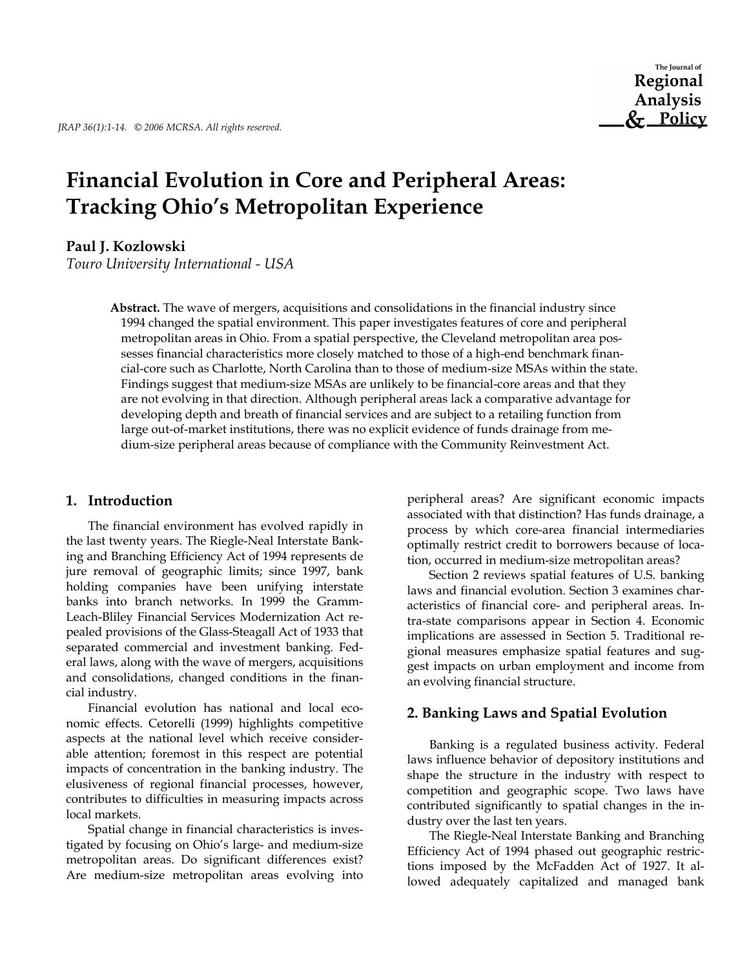# **Financial Evolution in Core and Peripheral Areas: Tracking Ohio's Metropolitan Experience**

## **Paul J. Kozlowski**

*Touro University International - USA*

**Abstract.** The wave of mergers, acquisitions and consolidations in the financial industry since 1994 changed the spatial environment. This paper investigates features of core and peripheral metropolitan areas in Ohio. From a spatial perspective, the Cleveland metropolitan area possesses financial characteristics more closely matched to those of a high-end benchmark financial-core such as Charlotte, North Carolina than to those of medium-size MSAs within the state. Findings suggest that medium-size MSAs are unlikely to be financial-core areas and that they are not evolving in that direction. Although peripheral areas lack a comparative advantage for developing depth and breath of financial services and are subject to a retailing function from large out-of-market institutions, there was no explicit evidence of funds drainage from medium-size peripheral areas because of compliance with the Community Reinvestment Act.

## **1. Introduction**

The financial environment has evolved rapidly in the last twenty years. The Riegle-Neal Interstate Banking and Branching Efficiency Act of 1994 represents de jure removal of geographic limits; since 1997, bank holding companies have been unifying interstate banks into branch networks. In 1999 the Gramm-Leach-Bliley Financial Services Modernization Act repealed provisions of the Glass-Steagall Act of 1933 that separated commercial and investment banking. Federal laws, along with the wave of mergers, acquisitions and consolidations, changed conditions in the financial industry.

Financial evolution has national and local economic effects. Cetorelli (1999) highlights competitive aspects at the national level which receive considerable attention; foremost in this respect are potential impacts of concentration in the banking industry. The elusiveness of regional financial processes, however, contributes to difficulties in measuring impacts across local markets.

Spatial change in financial characteristics is investigated by focusing on Ohio's large- and medium-size metropolitan areas. Do significant differences exist? Are medium-size metropolitan areas evolving into peripheral areas? Are significant economic impacts associated with that distinction? Has funds drainage, a process by which core-area financial intermediaries optimally restrict credit to borrowers because of location, occurred in medium-size metropolitan areas?

Section 2 reviews spatial features of U.S. banking laws and financial evolution. Section 3 examines characteristics of financial core- and peripheral areas. Intra-state comparisons appear in Section 4. Economic implications are assessed in Section 5. Traditional regional measures emphasize spatial features and suggest impacts on urban employment and income from an evolving financial structure.

## **2. Banking Laws and Spatial Evolution**

Banking is a regulated business activity. Federal laws influence behavior of depository institutions and shape the structure in the industry with respect to competition and geographic scope. Two laws have contributed significantly to spatial changes in the industry over the last ten years.

The Riegle-Neal Interstate Banking and Branching Efficiency Act of 1994 phased out geographic restrictions imposed by the McFadden Act of 1927. It allowed adequately capitalized and managed bank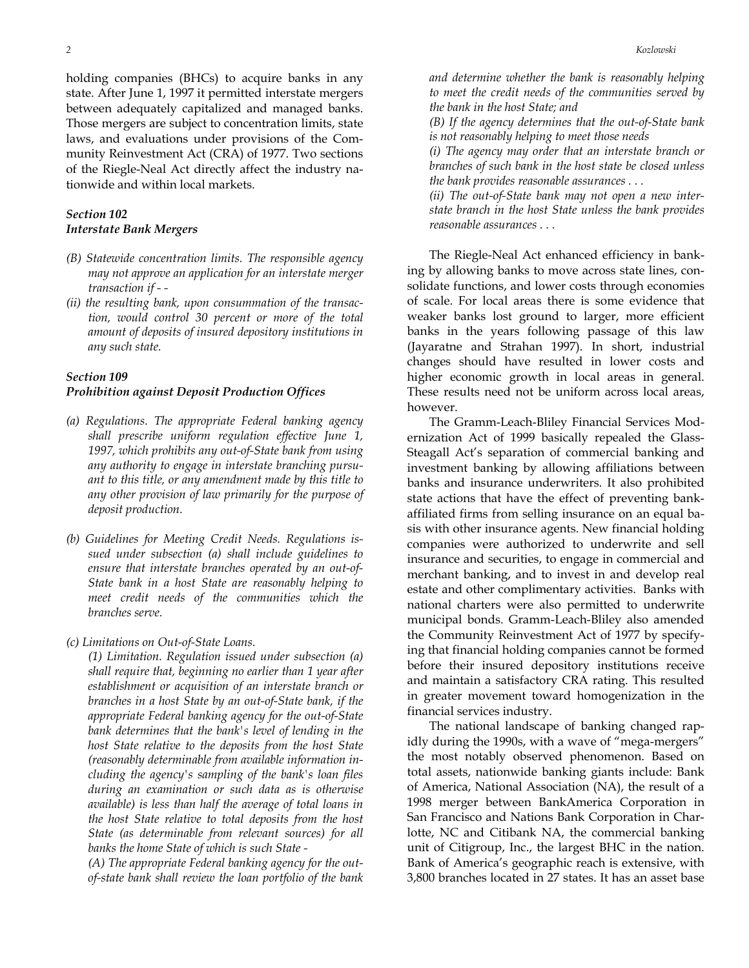holding companies (BHCs) to acquire banks in any state. After June 1, 1997 it permitted interstate mergers between adequately capitalized and managed banks. Those mergers are subject to concentration limits, state laws, and evaluations under provisions of the Community Reinvestment Act (CRA) of 1977. Two sections of the Riegle-Neal Act directly affect the industry nationwide and within local markets.

## *Section 102 Interstate Bank Mergers*

- *(B) Statewide concentration limits. The responsible agency may not approve an application for an interstate merger transaction if - -*
- *(ii) the resulting bank, upon consummation of the transaction, would control 30 percent or more of the total amount of deposits of insured depository institutions in any such state.*

#### *Section 109*

#### *Prohibition against Deposit Production Offices*

- *(a) Regulations. The appropriate Federal banking agency shall prescribe uniform regulation effective June 1, 1997, which prohibits any out-of-State bank from using any authority to engage in interstate branching pursuant to this title, or any amendment made by this title to any other provision of law primarily for the purpose of deposit production.*
- *(b) Guidelines for Meeting Credit Needs. Regulations issued under subsection (a) shall include guidelines to ensure that interstate branches operated by an out-of-State bank in a host State are reasonably helping to meet credit needs of the communities which the branches serve.*
- *(c) Limitations on Out-of-State Loans.*

 *(1) Limitation. Regulation issued under subsection (a) shall require that, beginning no earlier than 1 year after establishment or acquisition of an interstate branch or branches in a host State by an out-of-State bank, if the appropriate Federal banking agency for the out-of-State bank determines that the bank's level of lending in the host State relative to the deposits from the host State (reasonably determinable from available information including the agency's sampling of the bank's loan files during an examination or such data as is otherwise available) is less than half the average of total loans in the host State relative to total deposits from the host State (as determinable from relevant sources) for all banks the home State of which is such State -* 

 *(A) The appropriate Federal banking agency for the outof-state bank shall review the loan portfolio of the bank*  *and determine whether the bank is reasonably helping to meet the credit needs of the communities served by the bank in the host State; and* 

 *(B) If the agency determines that the out-of-State bank is not reasonably helping to meet those needs* 

 *(i) The agency may order that an interstate branch or branches of such bank in the host state be closed unless the bank provides reasonable assurances . . .* 

 *(ii) The out-of-State bank may not open a new interstate branch in the host State unless the bank provides reasonable assurances . . .* 

The Riegle-Neal Act enhanced efficiency in banking by allowing banks to move across state lines, consolidate functions, and lower costs through economies of scale. For local areas there is some evidence that weaker banks lost ground to larger, more efficient banks in the years following passage of this law (Jayaratne and Strahan 1997). In short, industrial changes should have resulted in lower costs and higher economic growth in local areas in general. These results need not be uniform across local areas, however.

The Gramm-Leach-Bliley Financial Services Modernization Act of 1999 basically repealed the Glass-Steagall Act's separation of commercial banking and investment banking by allowing affiliations between banks and insurance underwriters. It also prohibited state actions that have the effect of preventing bankaffiliated firms from selling insurance on an equal basis with other insurance agents. New financial holding companies were authorized to underwrite and sell insurance and securities, to engage in commercial and merchant banking, and to invest in and develop real estate and other complimentary activities. Banks with national charters were also permitted to underwrite municipal bonds. Gramm-Leach-Bliley also amended the Community Reinvestment Act of 1977 by specifying that financial holding companies cannot be formed before their insured depository institutions receive and maintain a satisfactory CRA rating. This resulted in greater movement toward homogenization in the financial services industry.

The national landscape of banking changed rapidly during the 1990s, with a wave of "mega-mergers" the most notably observed phenomenon. Based on total assets, nationwide banking giants include: Bank of America, National Association (NA), the result of a 1998 merger between BankAmerica Corporation in San Francisco and Nations Bank Corporation in Charlotte, NC and Citibank NA, the commercial banking unit of Citigroup, Inc., the largest BHC in the nation. Bank of America's geographic reach is extensive, with 3,800 branches located in 27 states. It has an asset base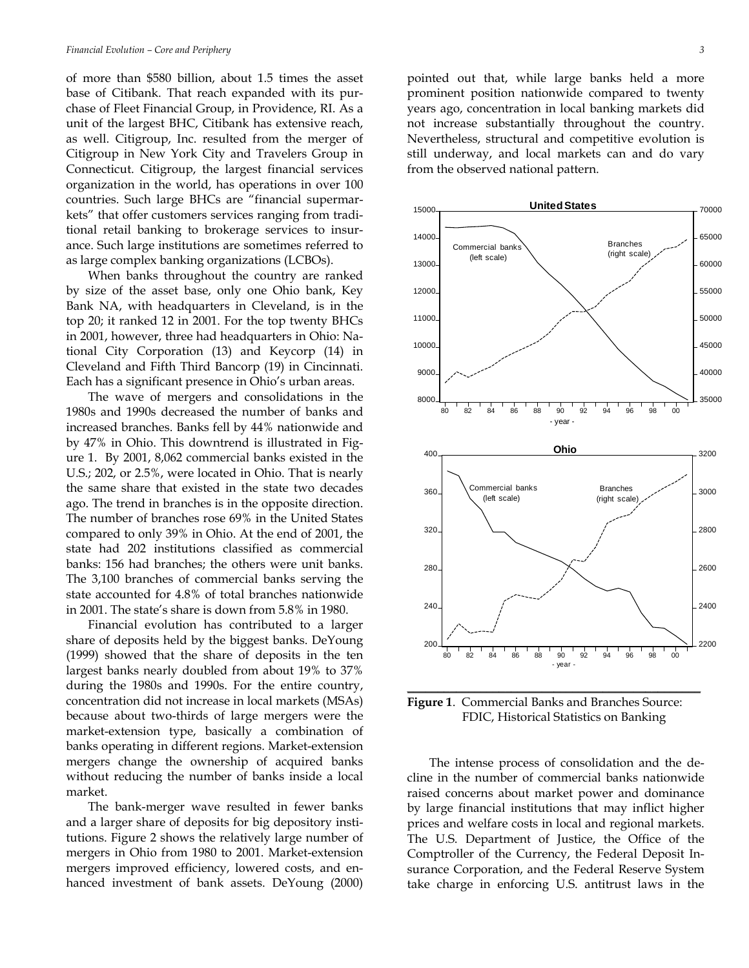of more than \$580 billion, about 1.5 times the asset base of Citibank. That reach expanded with its purchase of Fleet Financial Group, in Providence, RI. As a unit of the largest BHC, Citibank has extensive reach, as well. Citigroup, Inc. resulted from the merger of Citigroup in New York City and Travelers Group in Connecticut. Citigroup, the largest financial services organization in the world, has operations in over 100 countries. Such large BHCs are "financial supermarkets" that offer customers services ranging from traditional retail banking to brokerage services to insurance. Such large institutions are sometimes referred to as large complex banking organizations (LCBOs).

When banks throughout the country are ranked by size of the asset base, only one Ohio bank, Key Bank NA, with headquarters in Cleveland, is in the top 20; it ranked 12 in 2001. For the top twenty BHCs in 2001, however, three had headquarters in Ohio: National City Corporation (13) and Keycorp (14) in Cleveland and Fifth Third Bancorp (19) in Cincinnati. Each has a significant presence in Ohio's urban areas.

 The wave of mergers and consolidations in the 1980s and 1990s decreased the number of banks and increased branches. Banks fell by 44% nationwide and by 47% in Ohio. This downtrend is illustrated in Figure 1. By 2001, 8,062 commercial banks existed in the U.S.; 202, or 2.5%, were located in Ohio. That is nearly the same share that existed in the state two decades ago. The trend in branches is in the opposite direction. The number of branches rose 69% in the United States compared to only 39% in Ohio. At the end of 2001, the state had 202 institutions classified as commercial banks: 156 had branches; the others were unit banks. The 3,100 branches of commercial banks serving the state accounted for 4.8% of total branches nationwide in 2001. The state's share is down from 5.8% in 1980.

 Financial evolution has contributed to a larger share of deposits held by the biggest banks. DeYoung (1999) showed that the share of deposits in the ten largest banks nearly doubled from about 19% to 37% during the 1980s and 1990s. For the entire country, concentration did not increase in local markets (MSAs) because about two-thirds of large mergers were the market-extension type, basically a combination of banks operating in different regions. Market-extension mergers change the ownership of acquired banks without reducing the number of banks inside a local market.

The bank-merger wave resulted in fewer banks and a larger share of deposits for big depository institutions. Figure 2 shows the relatively large number of mergers in Ohio from 1980 to 2001. Market-extension mergers improved efficiency, lowered costs, and enhanced investment of bank assets. DeYoung (2000) pointed out that, while large banks held a more prominent position nationwide compared to twenty years ago, concentration in local banking markets did not increase substantially throughout the country. Nevertheless, structural and competitive evolution is still underway, and local markets can and do vary from the observed national pattern.



**Figure 1**. Commercial Banks and Branches Source: FDIC, Historical Statistics on Banking

The intense process of consolidation and the decline in the number of commercial banks nationwide raised concerns about market power and dominance by large financial institutions that may inflict higher prices and welfare costs in local and regional markets. The U.S. Department of Justice, the Office of the Comptroller of the Currency, the Federal Deposit Insurance Corporation, and the Federal Reserve System take charge in enforcing U.S. antitrust laws in the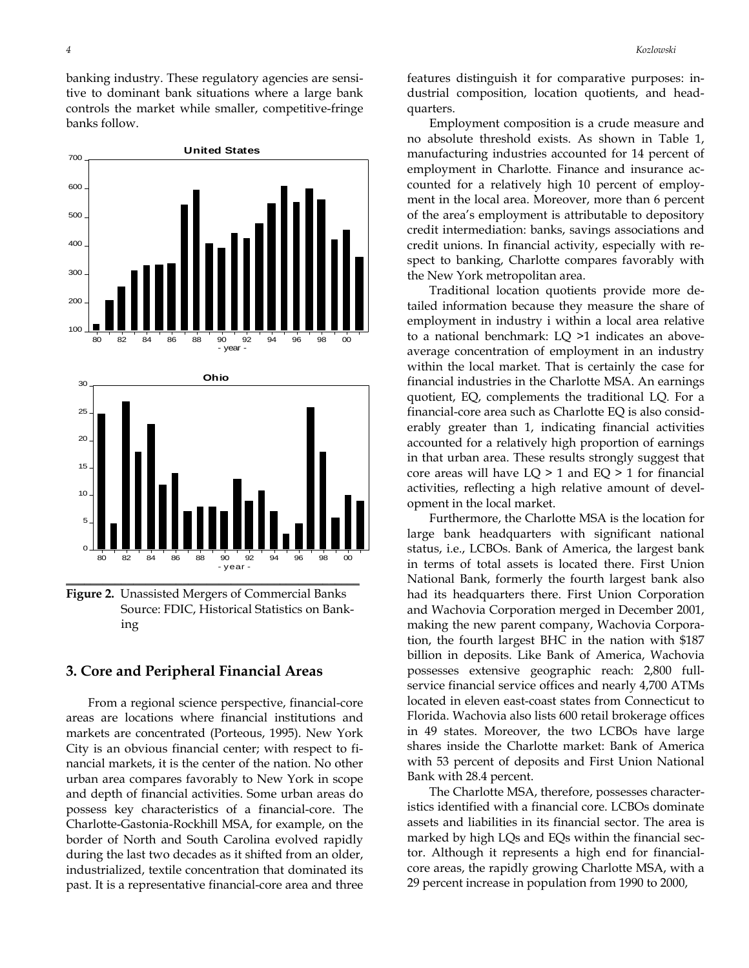700

banking industry. These regulatory agencies are sensitive to dominant bank situations where a large bank controls the market while smaller, competitive-fringe banks follow.

**United States**



**Figure 2.** Unassisted Mergers of Commercial Banks Source: FDIC, Historical Statistics on Banking

## **3. Core and Peripheral Financial Areas**

 From a regional science perspective, financial-core areas are locations where financial institutions and markets are concentrated (Porteous, 1995). New York City is an obvious financial center; with respect to financial markets, it is the center of the nation. No other urban area compares favorably to New York in scope and depth of financial activities. Some urban areas do possess key characteristics of a financial-core. The Charlotte-Gastonia-Rockhill MSA, for example, on the border of North and South Carolina evolved rapidly during the last two decades as it shifted from an older, industrialized, textile concentration that dominated its past. It is a representative financial-core area and three

features distinguish it for comparative purposes: industrial composition, location quotients, and headquarters.

 Employment composition is a crude measure and no absolute threshold exists. As shown in Table 1, manufacturing industries accounted for 14 percent of employment in Charlotte. Finance and insurance accounted for a relatively high 10 percent of employment in the local area. Moreover, more than 6 percent of the area's employment is attributable to depository credit intermediation: banks, savings associations and credit unions. In financial activity, especially with respect to banking, Charlotte compares favorably with the New York metropolitan area.

 Traditional location quotients provide more detailed information because they measure the share of employment in industry i within a local area relative to a national benchmark: LQ >1 indicates an aboveaverage concentration of employment in an industry within the local market. That is certainly the case for financial industries in the Charlotte MSA. An earnings quotient, EQ, complements the traditional LQ. For a financial-core area such as Charlotte EQ is also considerably greater than 1, indicating financial activities accounted for a relatively high proportion of earnings in that urban area. These results strongly suggest that core areas will have  $LQ > 1$  and  $EQ > 1$  for financial activities, reflecting a high relative amount of development in the local market.

 Furthermore, the Charlotte MSA is the location for large bank headquarters with significant national status, i.e., LCBOs. Bank of America, the largest bank in terms of total assets is located there. First Union National Bank, formerly the fourth largest bank also had its headquarters there. First Union Corporation and Wachovia Corporation merged in December 2001, making the new parent company, Wachovia Corporation, the fourth largest BHC in the nation with \$187 billion in deposits. Like Bank of America, Wachovia possesses extensive geographic reach: 2,800 fullservice financial service offices and nearly 4,700 ATMs located in eleven east-coast states from Connecticut to Florida. Wachovia also lists 600 retail brokerage offices in 49 states. Moreover, the two LCBOs have large shares inside the Charlotte market: Bank of America with 53 percent of deposits and First Union National Bank with 28.4 percent.

 The Charlotte MSA, therefore, possesses characteristics identified with a financial core. LCBOs dominate assets and liabilities in its financial sector. The area is marked by high LQs and EQs within the financial sector. Although it represents a high end for financialcore areas, the rapidly growing Charlotte MSA, with a 29 percent increase in population from 1990 to 2000,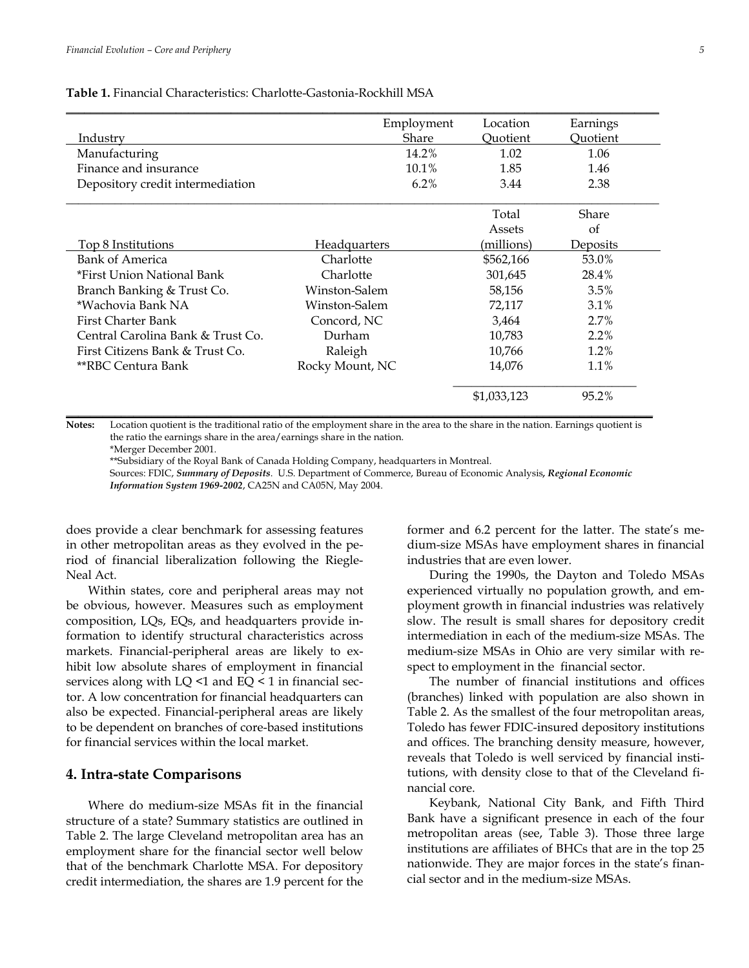**Table 1.** Financial Characteristics: Charlotte-Gastonia-Rockhill MSA

|                                   | Employment      | Location    | Earnings |
|-----------------------------------|-----------------|-------------|----------|
| Industry                          | Share           | Ouotient    | Ouotient |
| Manufacturing                     | 14.2%           | 1.02        | 1.06     |
| Finance and insurance             | 10.1%           | 1.85        | 1.46     |
| Depository credit intermediation  | 6.2%            | 3.44        | 2.38     |
|                                   |                 | Total       | Share    |
|                                   |                 | Assets      | of       |
| Top 8 Institutions                | Headquarters    | (millions)  | Deposits |
| Bank of America                   | Charlotte       | \$562,166   | 53.0%    |
| *First Union National Bank        | Charlotte       | 301,645     | 28.4%    |
| Branch Banking & Trust Co.        | Winston-Salem   | 58,156      | 3.5%     |
| *Wachovia Bank NA                 | Winston-Salem   | 72,117      | $3.1\%$  |
| First Charter Bank                | Concord, NC     | 3,464       | 2.7%     |
| Central Carolina Bank & Trust Co. | Durham          | 10,783      | 2.2%     |
| First Citizens Bank & Trust Co.   | Raleigh         | 10,766      | 1.2%     |
| **RBC Centura Bank                | Rocky Mount, NC | 14,076      | 1.1%     |
|                                   |                 | \$1,033,123 | 95.2%    |

**Notes:** Location quotient is the traditional ratio of the employment share in the area to the share in the nation. Earnings quotient is the ratio the earnings share in the area/earnings share in the nation.

\*Merger December 2001.

\*\*Subsidiary of the Royal Bank of Canada Holding Company, headquarters in Montreal.

 Sources: FDIC, *Summary of Deposits*. U.S. Department of Commerce, Bureau of Economic Analysis*, Regional Economic Information System 1969-2002*, CA25N and CA05N, May 2004.

does provide a clear benchmark for assessing features in other metropolitan areas as they evolved in the period of financial liberalization following the Riegle-Neal Act.

 Within states, core and peripheral areas may not be obvious, however. Measures such as employment composition, LQs, EQs, and headquarters provide information to identify structural characteristics across markets. Financial-peripheral areas are likely to exhibit low absolute shares of employment in financial services along with LQ <1 and EQ < 1 in financial sector. A low concentration for financial headquarters can also be expected. Financial-peripheral areas are likely to be dependent on branches of core-based institutions for financial services within the local market.

#### **4. Intra-state Comparisons**

 Where do medium-size MSAs fit in the financial structure of a state? Summary statistics are outlined in Table 2. The large Cleveland metropolitan area has an employment share for the financial sector well below that of the benchmark Charlotte MSA. For depository credit intermediation, the shares are 1.9 percent for the

former and 6.2 percent for the latter. The state's medium-size MSAs have employment shares in financial industries that are even lower.

 During the 1990s, the Dayton and Toledo MSAs experienced virtually no population growth, and employment growth in financial industries was relatively slow. The result is small shares for depository credit intermediation in each of the medium-size MSAs. The medium-size MSAs in Ohio are very similar with respect to employment in the financial sector.

 The number of financial institutions and offices (branches) linked with population are also shown in Table 2. As the smallest of the four metropolitan areas, Toledo has fewer FDIC-insured depository institutions and offices. The branching density measure, however, reveals that Toledo is well serviced by financial institutions, with density close to that of the Cleveland financial core.

 Keybank, National City Bank, and Fifth Third Bank have a significant presence in each of the four metropolitan areas (see, Table 3). Those three large institutions are affiliates of BHCs that are in the top 25 nationwide. They are major forces in the state's financial sector and in the medium-size MSAs.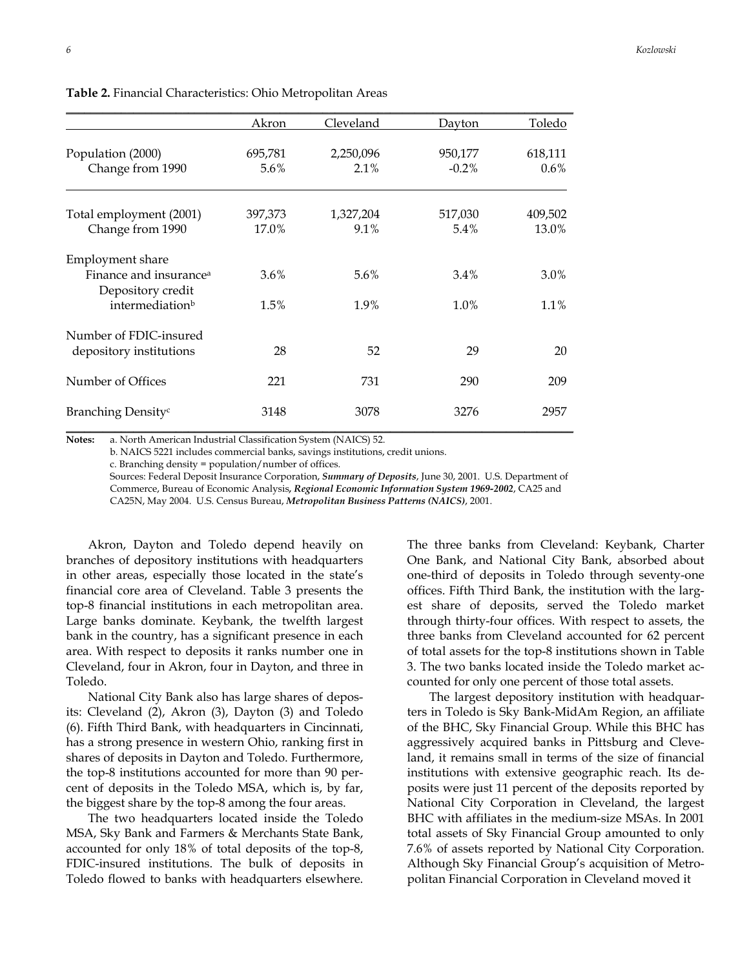|                                                         | Akron           | Cleveland            | Dayton              | Toledo             |
|---------------------------------------------------------|-----------------|----------------------|---------------------|--------------------|
| Population (2000)<br>Change from 1990                   | 695,781<br>5.6% | 2,250,096<br>$2.1\%$ | 950,177<br>$-0.2\%$ | 618,111<br>$0.6\%$ |
|                                                         |                 |                      |                     |                    |
| Total employment (2001)                                 | 397,373         | 1,327,204            | 517,030             | 409,502            |
| Change from 1990                                        | 17.0%           | 9.1%                 | 5.4%                | 13.0%              |
| <b>Employment</b> share                                 |                 |                      |                     |                    |
| Finance and insurance <sup>a</sup><br>Depository credit | 3.6%            | 5.6%                 | 3.4%                | 3.0%               |
| intermediation <sup>b</sup>                             | 1.5%            | 1.9%                 | 1.0%                | 1.1%               |
| Number of FDIC-insured                                  |                 |                      |                     |                    |
| depository institutions                                 | 28              | 52                   | 29                  | 20                 |
| Number of Offices                                       | 221             | 731                  | 290                 | 209                |
| Branching Density <sup>c</sup>                          | 3148            | 3078                 | 3276                | 2957               |

**Table 2.** Financial Characteristics: Ohio Metropolitan Areas

**Notes:** a. North American Industrial Classification System (NAICS) 52.

b. NAICS 5221 includes commercial banks, savings institutions, credit unions.

c. Branching density = population/number of offices.

Sources: Federal Deposit Insurance Corporation, *Summary of Deposits*, June 30, 2001. U.S. Department of Commerce, Bureau of Economic Analysis*, Regional Economic Information System 1969-2002*, CA25 and

CA25N, May 2004. U.S. Census Bureau, *Metropolitan Business Patterns (NAICS)*, 2001.

 Akron, Dayton and Toledo depend heavily on branches of depository institutions with headquarters in other areas, especially those located in the state's financial core area of Cleveland. Table 3 presents the top-8 financial institutions in each metropolitan area. Large banks dominate. Keybank, the twelfth largest bank in the country, has a significant presence in each area. With respect to deposits it ranks number one in Cleveland, four in Akron, four in Dayton, and three in Toledo.

 National City Bank also has large shares of deposits: Cleveland (2), Akron (3), Dayton (3) and Toledo (6). Fifth Third Bank, with headquarters in Cincinnati, has a strong presence in western Ohio, ranking first in shares of deposits in Dayton and Toledo. Furthermore, the top-8 institutions accounted for more than 90 percent of deposits in the Toledo MSA, which is, by far, the biggest share by the top-8 among the four areas.

 The two headquarters located inside the Toledo MSA, Sky Bank and Farmers & Merchants State Bank, accounted for only 18% of total deposits of the top-8, FDIC-insured institutions. The bulk of deposits in Toledo flowed to banks with headquarters elsewhere. The three banks from Cleveland: Keybank, Charter One Bank, and National City Bank, absorbed about one-third of deposits in Toledo through seventy-one offices. Fifth Third Bank, the institution with the largest share of deposits, served the Toledo market through thirty-four offices. With respect to assets, the three banks from Cleveland accounted for 62 percent of total assets for the top-8 institutions shown in Table 3. The two banks located inside the Toledo market accounted for only one percent of those total assets.

 The largest depository institution with headquarters in Toledo is Sky Bank-MidAm Region, an affiliate of the BHC, Sky Financial Group. While this BHC has aggressively acquired banks in Pittsburg and Cleveland, it remains small in terms of the size of financial institutions with extensive geographic reach. Its deposits were just 11 percent of the deposits reported by National City Corporation in Cleveland, the largest BHC with affiliates in the medium-size MSAs. In 2001 total assets of Sky Financial Group amounted to only 7.6% of assets reported by National City Corporation. Although Sky Financial Group's acquisition of Metropolitan Financial Corporation in Cleveland moved it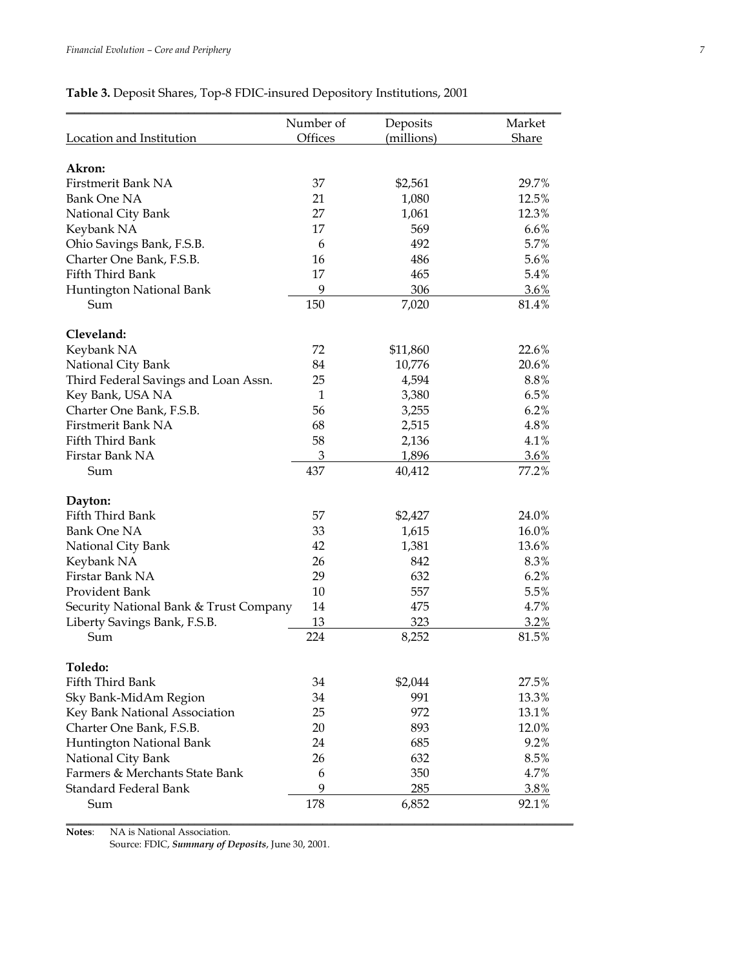## **Table 3.** Deposit Shares, Top-8 FDIC-insured Depository Institutions, 2001

|                                        | Number of    | Deposits   | Market  |
|----------------------------------------|--------------|------------|---------|
| Location and Institution               | Offices      | (millions) | Share   |
| Akron:                                 |              |            |         |
| Firstmerit Bank NA                     | 37           | \$2,561    | 29.7%   |
| Bank One NA                            | 21           | 1,080      | 12.5%   |
| National City Bank                     | 27           | 1,061      | 12.3%   |
| Keybank NA                             | 17           | 569        | 6.6%    |
| Ohio Savings Bank, F.S.B.              | 6            | 492        | 5.7%    |
| Charter One Bank, F.S.B.               | 16           | 486        | 5.6%    |
| Fifth Third Bank                       | 17           | 465        | 5.4%    |
| Huntington National Bank               | 9            | 306        | $3.6\%$ |
| Sum                                    | 150          | 7,020      | 81.4%   |
|                                        |              |            |         |
| Cleveland:                             |              |            |         |
| Keybank NA                             | 72           | \$11,860   | 22.6%   |
| National City Bank                     | 84           | 10,776     | 20.6%   |
| Third Federal Savings and Loan Assn.   | 25           | 4,594      | 8.8%    |
| Key Bank, USA NA                       | $\mathbf{1}$ | 3,380      | 6.5%    |
| Charter One Bank, F.S.B.               | 56           | 3,255      | 6.2%    |
| Firstmerit Bank NA                     | 68           | 2,515      | 4.8%    |
| Fifth Third Bank                       | 58           | 2,136      | 4.1%    |
| Firstar Bank NA                        | 3            | 1,896      | 3.6%    |
| Sum                                    | 437          | 40,412     | 77.2%   |
| Dayton:                                |              |            |         |
| Fifth Third Bank                       | 57           | \$2,427    | 24.0%   |
| <b>Bank One NA</b>                     | 33           | 1,615      | 16.0%   |
| National City Bank                     | 42           | 1,381      | 13.6%   |
| Keybank NA                             | 26           | 842        | 8.3%    |
| Firstar Bank NA                        | 29           | 632        | 6.2%    |
| Provident Bank                         | 10           | 557        | 5.5%    |
| Security National Bank & Trust Company | 14           | 475        | 4.7%    |
| Liberty Savings Bank, F.S.B.           | 13           | 323        | 3.2%    |
| Sum                                    | 224          | 8,252      | 81.5%   |
|                                        |              |            |         |
| Toledo:                                |              |            |         |
| Fifth Third Bank                       | 34           | \$2,044    | 27.5%   |
| Sky Bank-MidAm Region                  | 34           | 991        | 13.3%   |
| Key Bank National Association          | 25           | 972        | 13.1%   |
| Charter One Bank, F.S.B.               | 20           | 893        | 12.0%   |
| Huntington National Bank               | 24           | 685        | 9.2%    |
| National City Bank                     | 26           | 632        | 8.5%    |
| Farmers & Merchants State Bank         | 6            | 350        | 4.7%    |
| Standard Federal Bank                  | 9            | 285        | 3.8%    |
| Sum                                    | 178          | 6,852      | 92.1%   |

**Notes**: NA is National Association.

Source: FDIC, *Summary of Deposits*, June 30, 2001.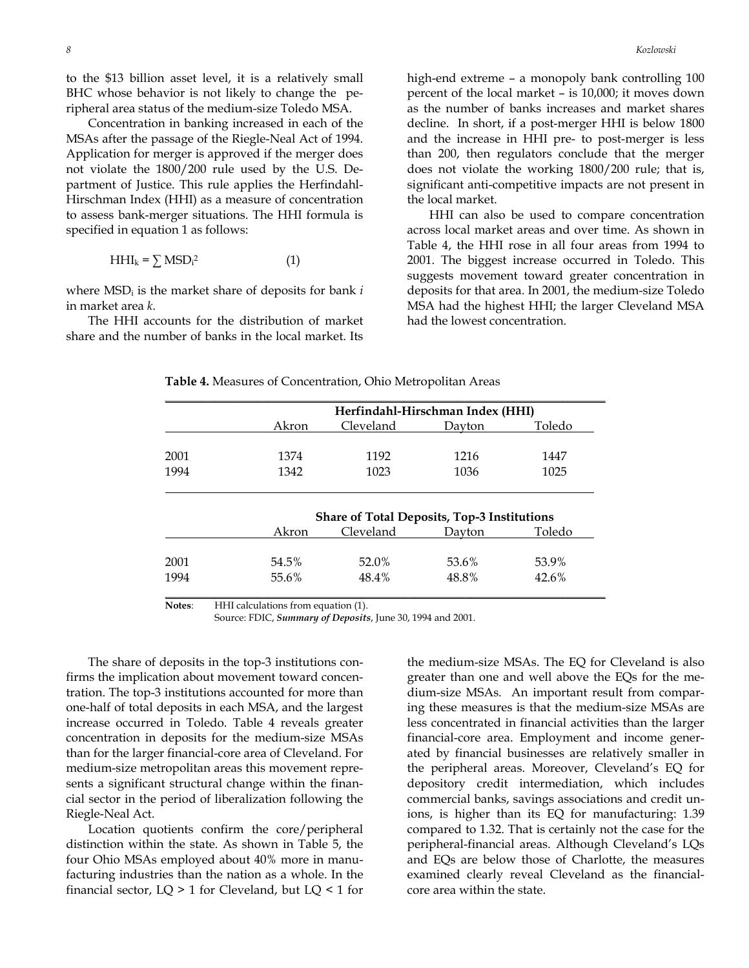to the \$13 billion asset level, it is a relatively small BHC whose behavior is not likely to change the peripheral area status of the medium-size Toledo MSA.

 Concentration in banking increased in each of the MSAs after the passage of the Riegle-Neal Act of 1994. Application for merger is approved if the merger does not violate the 1800/200 rule used by the U.S. Department of Justice. This rule applies the Herfindahl-Hirschman Index (HHI) as a measure of concentration to assess bank-merger situations. The HHI formula is specified in equation 1 as follows:

$$
HHI_k = \sum MSD_i^2
$$
 (1)

where MSDi is the market share of deposits for bank *i* in market area *k*.

 The HHI accounts for the distribution of market share and the number of banks in the local market. Its high-end extreme – a monopoly bank controlling 100 percent of the local market – is 10,000; it moves down as the number of banks increases and market shares decline. In short, if a post-merger HHI is below 1800 and the increase in HHI pre- to post-merger is less than 200, then regulators conclude that the merger does not violate the working 1800/200 rule; that is, significant anti-competitive impacts are not present in the local market.

 HHI can also be used to compare concentration across local market areas and over time. As shown in Table 4, the HHI rose in all four areas from 1994 to 2001. The biggest increase occurred in Toledo. This suggests movement toward greater concentration in deposits for that area. In 2001, the medium-size Toledo MSA had the highest HHI; the larger Cleveland MSA had the lowest concentration.

|      |       | Herfindahl-Hirschman Index (HHI)                   |        |        |  |  |
|------|-------|----------------------------------------------------|--------|--------|--|--|
|      | Akron | Cleveland                                          | Dayton | Toledo |  |  |
|      |       |                                                    |        |        |  |  |
| 2001 | 1374  | 1192                                               | 1216   | 1447   |  |  |
| 1994 | 1342  | 1023                                               | 1036   | 1025   |  |  |
|      |       |                                                    |        |        |  |  |
|      |       | <b>Share of Total Deposits, Top-3 Institutions</b> |        |        |  |  |
|      | Akron | Cleveland                                          | Davton | Toledo |  |  |

1994 55.6% 48.4% 48.8% 42.6% **\_\_\_\_\_\_\_\_\_\_\_\_\_\_\_\_\_\_\_\_\_\_\_\_\_\_\_\_\_\_\_\_\_\_\_\_\_\_\_\_\_\_\_\_\_\_\_\_\_\_\_\_\_\_\_\_\_\_\_\_\_\_\_\_\_\_\_\_\_\_\_\_**

**Table 4.** Measures of Concentration, Ohio Metropolitan Areas

**Notes**: HHI calculations from equation (1).

Source: FDIC, *Summary of Deposits*, June 30, 1994 and 2001.

 The share of deposits in the top-3 institutions confirms the implication about movement toward concentration. The top-3 institutions accounted for more than one-half of total deposits in each MSA, and the largest increase occurred in Toledo. Table 4 reveals greater concentration in deposits for the medium-size MSAs than for the larger financial-core area of Cleveland. For medium-size metropolitan areas this movement represents a significant structural change within the financial sector in the period of liberalization following the Riegle-Neal Act.

 Location quotients confirm the core/peripheral distinction within the state. As shown in Table 5, the four Ohio MSAs employed about 40% more in manufacturing industries than the nation as a whole. In the financial sector,  $LQ > 1$  for Cleveland, but  $LQ < 1$  for the medium-size MSAs. The EQ for Cleveland is also greater than one and well above the EQs for the medium-size MSAs. An important result from comparing these measures is that the medium-size MSAs are less concentrated in financial activities than the larger financial-core area. Employment and income generated by financial businesses are relatively smaller in the peripheral areas. Moreover, Cleveland's EQ for depository credit intermediation, which includes commercial banks, savings associations and credit unions, is higher than its EQ for manufacturing: 1.39 compared to 1.32. That is certainly not the case for the peripheral-financial areas. Although Cleveland's LQs and EQs are below those of Charlotte, the measures examined clearly reveal Cleveland as the financialcore area within the state.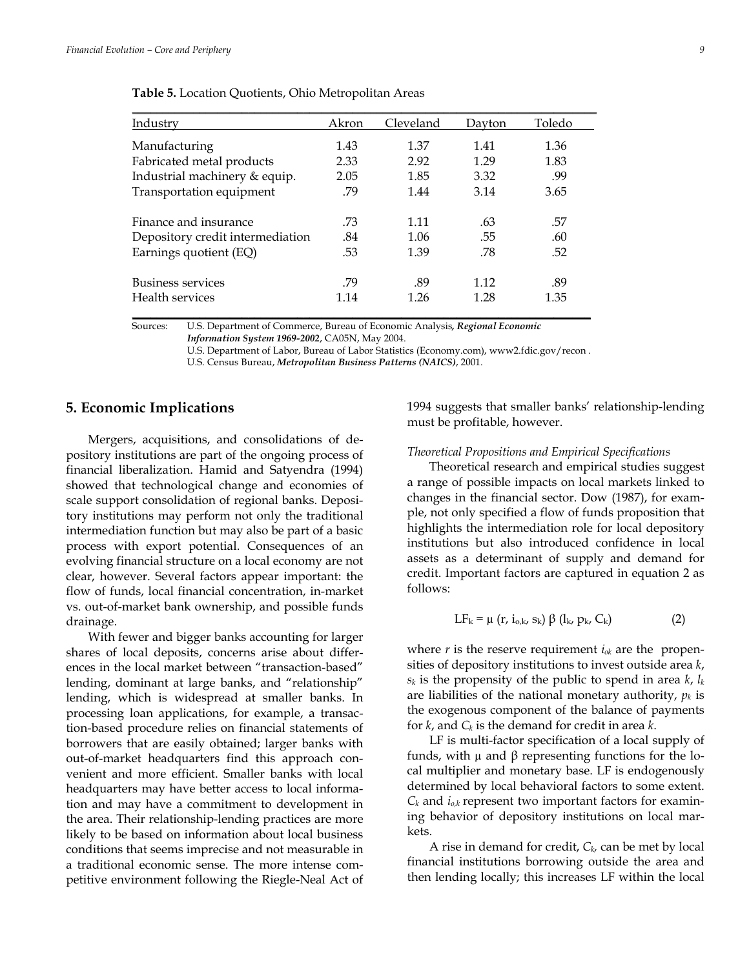| Table 5. Location Quotients, Ohio Metropolitan Areas |       |           |        |        |
|------------------------------------------------------|-------|-----------|--------|--------|
| Industry                                             | Akron | Cleveland | Dayton | Toledo |
| Manufacturing                                        | 1.43  | 1.37      | 1.41   | 1.36   |
| Fabricated metal products                            | 2.33  | 2.92      | 1.29   | 1.83   |
| Industrial machinery & equip.                        | 2.05  | 1.85      | 3.32   | .99    |
| Transportation equipment                             | .79   | 1.44      | 3.14   | 3.65   |

Sources: U.S. Department of Commerce, Bureau of Economic Analysis*, Regional Economic Information System 1969-2002*, CA05N, May 2004.

Finance and insurance  $.73$   $.11$   $.63$   $.57$ Depository credit intermediation  $.84$  1.06  $.55$  .60 Earnings quotient (EQ) .53 .53 .52 .52

Business services .79 .89 1.12 .89 Health services 1.14 1.26 1.28 1.35 **\_\_\_\_\_\_\_\_\_\_\_\_\_\_\_\_\_\_\_\_\_\_\_\_\_\_\_\_\_\_\_\_\_\_\_\_\_\_\_\_\_\_\_\_\_\_\_\_\_\_\_\_\_\_\_\_\_\_\_\_\_\_\_\_\_\_\_\_\_\_\_\_\_\_\_**

> U.S. Department of Labor, Bureau of Labor Statistics (Economy.com), www2.fdic.gov/recon . U.S. Census Bureau, *Metropolitan Business Patterns (NAICS)*, 2001.

## **5. Economic Implications**

 Mergers, acquisitions, and consolidations of depository institutions are part of the ongoing process of financial liberalization. Hamid and Satyendra (1994) showed that technological change and economies of scale support consolidation of regional banks. Depository institutions may perform not only the traditional intermediation function but may also be part of a basic process with export potential. Consequences of an evolving financial structure on a local economy are not clear, however. Several factors appear important: the flow of funds, local financial concentration, in-market vs. out-of-market bank ownership, and possible funds drainage.

 With fewer and bigger banks accounting for larger shares of local deposits, concerns arise about differences in the local market between "transaction-based" lending, dominant at large banks, and "relationship" lending, which is widespread at smaller banks. In processing loan applications, for example, a transaction-based procedure relies on financial statements of borrowers that are easily obtained; larger banks with out-of-market headquarters find this approach convenient and more efficient. Smaller banks with local headquarters may have better access to local information and may have a commitment to development in the area. Their relationship-lending practices are more likely to be based on information about local business conditions that seems imprecise and not measurable in a traditional economic sense. The more intense competitive environment following the Riegle-Neal Act of

1994 suggests that smaller banks' relationship-lending must be profitable, however.

#### *Theoretical Propositions and Empirical Specifications*

 Theoretical research and empirical studies suggest a range of possible impacts on local markets linked to changes in the financial sector. Dow (1987), for example, not only specified a flow of funds proposition that highlights the intermediation role for local depository institutions but also introduced confidence in local assets as a determinant of supply and demand for credit. Important factors are captured in equation 2 as follows:

$$
LF_{k} = \mu \left( r, i_{o,k}, s_{k} \right) \beta \left( l_{k}, p_{k}, C_{k} \right) \tag{2}
$$

where *r* is the reserve requirement *iok* are the propensities of depository institutions to invest outside area *k*,  $s_k$  is the propensity of the public to spend in area  $k$ ,  $l_k$ are liabilities of the national monetary authority,  $p_k$  is the exogenous component of the balance of payments for *k*, and *Ck* is the demand for credit in area *k*.

 LF is multi-factor specification of a local supply of funds, with µ and β representing functions for the local multiplier and monetary base. LF is endogenously determined by local behavioral factors to some extent.  $C_k$  and  $i_{o,k}$  represent two important factors for examining behavior of depository institutions on local markets.

 A rise in demand for credit, *Ck,* can be met by local financial institutions borrowing outside the area and then lending locally; this increases LF within the local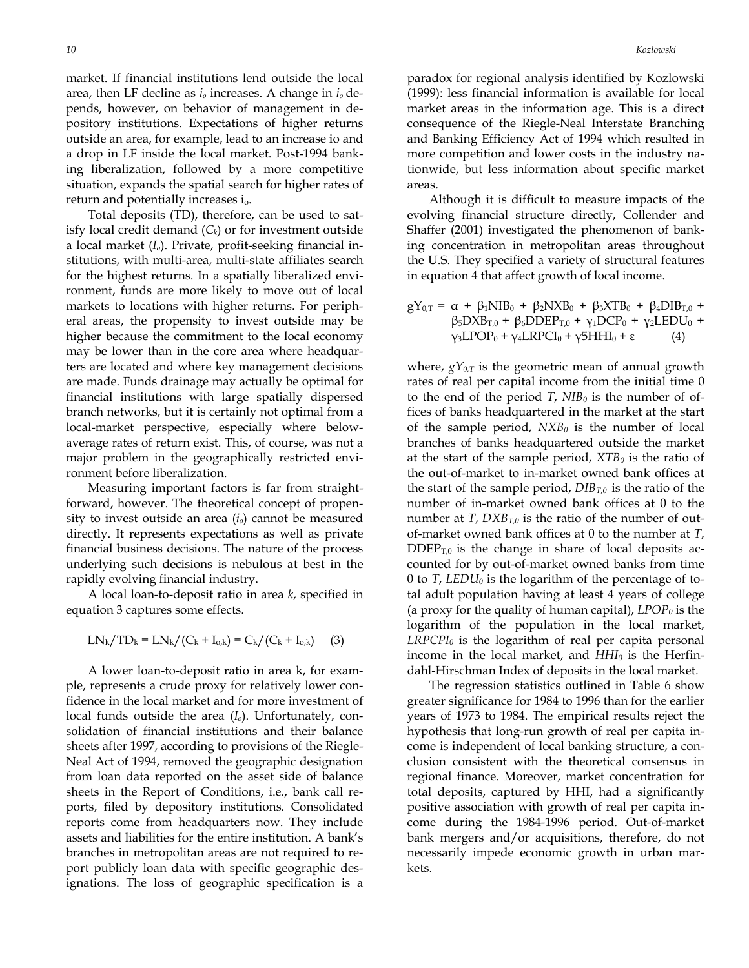market. If financial institutions lend outside the local area, then LF decline as *io* increases. A change in *io* depends, however, on behavior of management in depository institutions. Expectations of higher returns outside an area, for example, lead to an increase io and a drop in LF inside the local market. Post-1994 banking liberalization, followed by a more competitive situation, expands the spatial search for higher rates of return and potentially increases i<sub>o</sub>.

 Total deposits (TD), therefore, can be used to satisfy local credit demand  $(C_k)$  or for investment outside a local market (*Io*). Private, profit-seeking financial institutions, with multi-area, multi-state affiliates search for the highest returns. In a spatially liberalized environment, funds are more likely to move out of local markets to locations with higher returns. For peripheral areas, the propensity to invest outside may be higher because the commitment to the local economy may be lower than in the core area where headquarters are located and where key management decisions are made. Funds drainage may actually be optimal for financial institutions with large spatially dispersed branch networks, but it is certainly not optimal from a local-market perspective, especially where belowaverage rates of return exist. This, of course, was not a major problem in the geographically restricted environment before liberalization.

 Measuring important factors is far from straightforward, however. The theoretical concept of propensity to invest outside an area (*io*) cannot be measured directly. It represents expectations as well as private financial business decisions. The nature of the process underlying such decisions is nebulous at best in the rapidly evolving financial industry.

 A local loan-to-deposit ratio in area *k*, specified in equation 3 captures some effects.

$$
LN_{k}/TD_{k} = LN_{k}/(C_{k} + I_{o,k}) = C_{k}/(C_{k} + I_{o,k})
$$
 (3)

 A lower loan-to-deposit ratio in area k, for example, represents a crude proxy for relatively lower confidence in the local market and for more investment of local funds outside the area (*Io*). Unfortunately, consolidation of financial institutions and their balance sheets after 1997, according to provisions of the Riegle-Neal Act of 1994, removed the geographic designation from loan data reported on the asset side of balance sheets in the Report of Conditions, i.e., bank call reports, filed by depository institutions. Consolidated reports come from headquarters now. They include assets and liabilities for the entire institution. A bank's branches in metropolitan areas are not required to report publicly loan data with specific geographic designations. The loss of geographic specification is a

paradox for regional analysis identified by Kozlowski (1999): less financial information is available for local market areas in the information age. This is a direct consequence of the Riegle-Neal Interstate Branching and Banking Efficiency Act of 1994 which resulted in more competition and lower costs in the industry nationwide, but less information about specific market areas.

 Although it is difficult to measure impacts of the evolving financial structure directly, Collender and Shaffer (2001) investigated the phenomenon of banking concentration in metropolitan areas throughout the U.S. They specified a variety of structural features in equation 4 that affect growth of local income.

 $gY_{0,T} = \alpha + \beta_1 NIB_0 + \beta_2 NXB_0 + \beta_3 XTB_0 + \beta_4 DIB_{T,0} +$  $β_5DXB_{T,0} + β_6DDEF_{T,0} + γ_1DCP_0 + γ_2LEDU_0 +$  $γ<sub>3</sub>LPOP<sub>0</sub> + γ<sub>4</sub>LRPCI<sub>0</sub> + γ5HHI<sub>0</sub> + ε$  (4)

where,  $gY_{0,T}$  is the geometric mean of annual growth rates of real per capital income from the initial time 0 to the end of the period  $T$ ,  $NIB_0$  is the number of offices of banks headquartered in the market at the start of the sample period,  $NXB_0$  is the number of local branches of banks headquartered outside the market at the start of the sample period,  $XTB<sub>0</sub>$  is the ratio of the out-of-market to in-market owned bank offices at the start of the sample period,  $DIB_{T,0}$  is the ratio of the number of in-market owned bank offices at 0 to the number at *T*,  $DXB_{T,0}$  is the ratio of the number of outof-market owned bank offices at 0 to the number at *T*,  $\text{DDEF}_{T,0}$  is the change in share of local deposits accounted for by out-of-market owned banks from time 0 to *T*, *LEDU*<sup> $0$ </sup> is the logarithm of the percentage of total adult population having at least 4 years of college (a proxy for the quality of human capital),  $LPOP<sub>0</sub>$  is the logarithm of the population in the local market,  $LRPCPI<sub>0</sub>$  is the logarithm of real per capita personal income in the local market, and  $HHI_0$  is the Herfindahl-Hirschman Index of deposits in the local market.

 The regression statistics outlined in Table 6 show greater significance for 1984 to 1996 than for the earlier years of 1973 to 1984. The empirical results reject the hypothesis that long-run growth of real per capita income is independent of local banking structure, a conclusion consistent with the theoretical consensus in regional finance. Moreover, market concentration for total deposits, captured by HHI, had a significantly positive association with growth of real per capita income during the 1984-1996 period. Out-of-market bank mergers and/or acquisitions, therefore, do not necessarily impede economic growth in urban markets.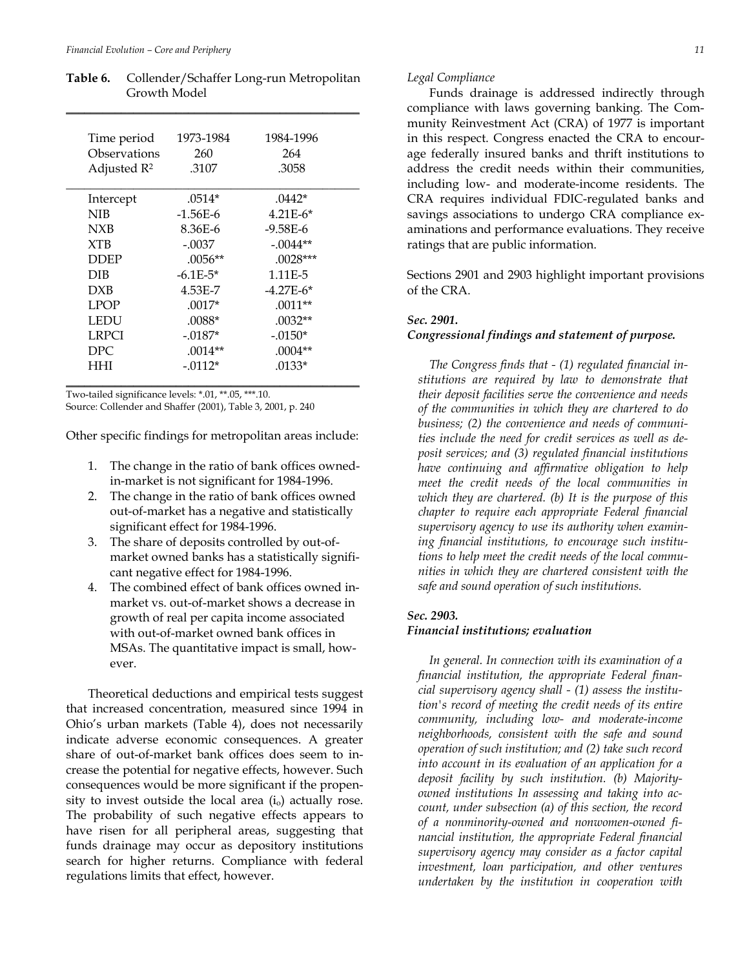| Time period             | 1973-1984    | 1984-1996    |
|-------------------------|--------------|--------------|
| Observations            | 260          | 264          |
| Adjusted R <sup>2</sup> | .3107        | .3058        |
| Intercept               | $.0514*$     | $.0442*$     |
| NIB                     | $-1.56E-6$   | $4.21E-6*$   |
| <b>NXB</b>              | 8.36E-6      | $-9.58E - 6$ |
| <b>XTB</b>              | $-.0037$     | $-.0044**$   |
| <b>DDEP</b>             | $.0056**$    | $.0028***$   |
| DIB                     | $-6.1E - 5*$ | 1.11E-5      |
| <b>DXB</b>              | 4.53E-7      | $-4.27E-6*$  |
| <b>LPOP</b>             | $.0017*$     | $.0011**$    |
| LEDU                    | $.0088*$     | $.0032**$    |
| <b>LRPCI</b>            | $-.0187*$    | $-.0150*$    |
| DPC                     | $.0014**$    | $.0004**$    |
| HHI                     | $-.0112*$    | $.0133*$     |

**Table 6.** Collender/Schaffer Long-run Metropolitan Growth Model

Two-tailed significance levels: \*.01, \*\*.05, \*\*\*.10. Source: Collender and Shaffer (2001), Table 3, 2001, p. 240

Other specific findings for metropolitan areas include:

- 1. The change in the ratio of bank offices ownedin-market is not significant for 1984-1996.
- 2. The change in the ratio of bank offices owned out-of-market has a negative and statistically significant effect for 1984-1996.
- 3. The share of deposits controlled by out-ofmarket owned banks has a statistically significant negative effect for 1984-1996.
- 4. The combined effect of bank offices owned inmarket vs. out-of-market shows a decrease in growth of real per capita income associated with out-of-market owned bank offices in MSAs. The quantitative impact is small, however.

 Theoretical deductions and empirical tests suggest that increased concentration, measured since 1994 in Ohio's urban markets (Table 4), does not necessarily indicate adverse economic consequences. A greater share of out-of-market bank offices does seem to increase the potential for negative effects, however. Such consequences would be more significant if the propensity to invest outside the local area  $(i_0)$  actually rose. The probability of such negative effects appears to have risen for all peripheral areas, suggesting that funds drainage may occur as depository institutions search for higher returns. Compliance with federal regulations limits that effect, however.

#### *Legal Compliance*

 Funds drainage is addressed indirectly through compliance with laws governing banking. The Community Reinvestment Act (CRA) of 1977 is important in this respect. Congress enacted the CRA to encourage federally insured banks and thrift institutions to address the credit needs within their communities, including low- and moderate-income residents. The CRA requires individual FDIC-regulated banks and savings associations to undergo CRA compliance examinations and performance evaluations. They receive ratings that are public information.

Sections 2901 and 2903 highlight important provisions of the CRA.

#### *Sec. 2901.*

#### *Congressional findings and statement of purpose.*

*The Congress finds that - (1) regulated financial institutions are required by law to demonstrate that their deposit facilities serve the convenience and needs of the communities in which they are chartered to do business; (2) the convenience and needs of communities include the need for credit services as well as deposit services; and (3) regulated financial institutions have continuing and affirmative obligation to help meet the credit needs of the local communities in which they are chartered. (b) It is the purpose of this chapter to require each appropriate Federal financial supervisory agency to use its authority when examining financial institutions, to encourage such institutions to help meet the credit needs of the local communities in which they are chartered consistent with the safe and sound operation of such institutions.* 

#### *Sec. 2903.*

#### *Financial institutions; evaluation*

*In general. In connection with its examination of a financial institution, the appropriate Federal financial supervisory agency shall - (1) assess the institution's record of meeting the credit needs of its entire community, including low- and moderate-income neighborhoods, consistent with the safe and sound operation of such institution; and (2) take such record into account in its evaluation of an application for a deposit facility by such institution. (b) Majorityowned institutions In assessing and taking into account, under subsection (a) of this section, the record of a nonminority-owned and nonwomen-owned financial institution, the appropriate Federal financial supervisory agency may consider as a factor capital investment, loan participation, and other ventures undertaken by the institution in cooperation with*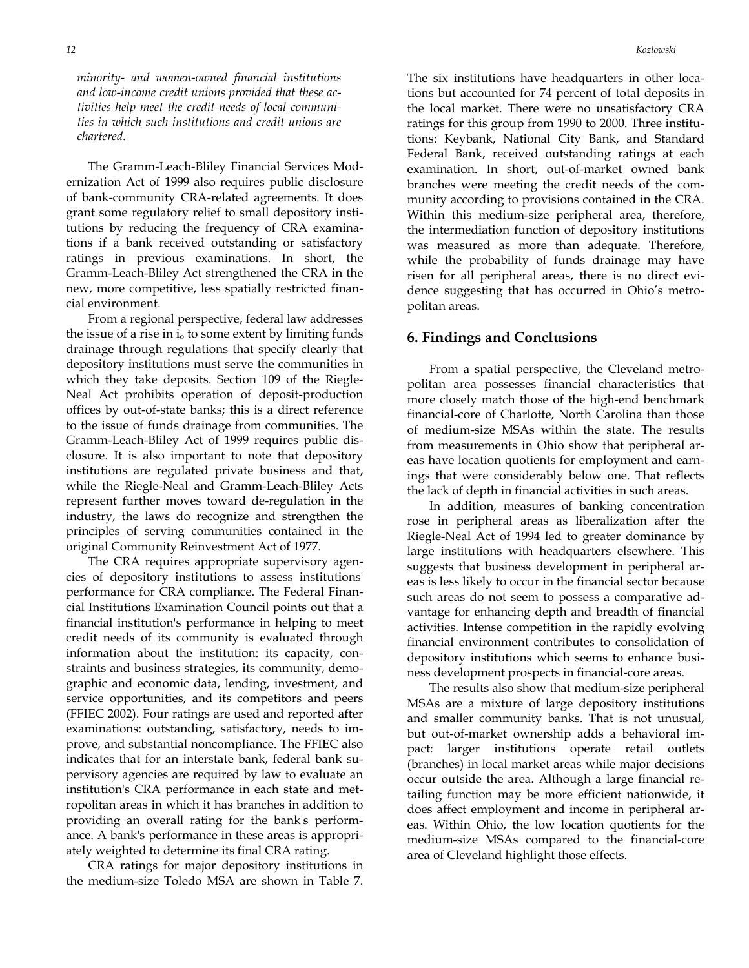*minority- and women-owned financial institutions and low-income credit unions provided that these activities help meet the credit needs of local communities in which such institutions and credit unions are chartered.* 

 The Gramm-Leach-Bliley Financial Services Modernization Act of 1999 also requires public disclosure of bank-community CRA-related agreements. It does grant some regulatory relief to small depository institutions by reducing the frequency of CRA examinations if a bank received outstanding or satisfactory ratings in previous examinations. In short, the Gramm-Leach-Bliley Act strengthened the CRA in the new, more competitive, less spatially restricted financial environment.

 From a regional perspective, federal law addresses the issue of a rise in  $i_0$  to some extent by limiting funds drainage through regulations that specify clearly that depository institutions must serve the communities in which they take deposits. Section 109 of the Riegle-Neal Act prohibits operation of deposit-production offices by out-of-state banks; this is a direct reference to the issue of funds drainage from communities. The Gramm-Leach-Bliley Act of 1999 requires public disclosure. It is also important to note that depository institutions are regulated private business and that, while the Riegle-Neal and Gramm-Leach-Bliley Acts represent further moves toward de-regulation in the industry, the laws do recognize and strengthen the principles of serving communities contained in the original Community Reinvestment Act of 1977.

 The CRA requires appropriate supervisory agencies of depository institutions to assess institutions' performance for CRA compliance. The Federal Financial Institutions Examination Council points out that a financial institution's performance in helping to meet credit needs of its community is evaluated through information about the institution: its capacity, constraints and business strategies, its community, demographic and economic data, lending, investment, and service opportunities, and its competitors and peers (FFIEC 2002). Four ratings are used and reported after examinations: outstanding, satisfactory, needs to improve, and substantial noncompliance. The FFIEC also indicates that for an interstate bank, federal bank supervisory agencies are required by law to evaluate an institution's CRA performance in each state and metropolitan areas in which it has branches in addition to providing an overall rating for the bank's performance. A bank's performance in these areas is appropriately weighted to determine its final CRA rating.

 CRA ratings for major depository institutions in the medium-size Toledo MSA are shown in Table 7.

The six institutions have headquarters in other locations but accounted for 74 percent of total deposits in the local market. There were no unsatisfactory CRA ratings for this group from 1990 to 2000. Three institutions: Keybank, National City Bank, and Standard Federal Bank, received outstanding ratings at each examination. In short, out-of-market owned bank branches were meeting the credit needs of the community according to provisions contained in the CRA. Within this medium-size peripheral area, therefore, the intermediation function of depository institutions was measured as more than adequate. Therefore, while the probability of funds drainage may have risen for all peripheral areas, there is no direct evidence suggesting that has occurred in Ohio's metropolitan areas.

#### **6. Findings and Conclusions**

 From a spatial perspective, the Cleveland metropolitan area possesses financial characteristics that more closely match those of the high-end benchmark financial-core of Charlotte, North Carolina than those of medium-size MSAs within the state. The results from measurements in Ohio show that peripheral areas have location quotients for employment and earnings that were considerably below one. That reflects the lack of depth in financial activities in such areas.

 In addition, measures of banking concentration rose in peripheral areas as liberalization after the Riegle-Neal Act of 1994 led to greater dominance by large institutions with headquarters elsewhere. This suggests that business development in peripheral areas is less likely to occur in the financial sector because such areas do not seem to possess a comparative advantage for enhancing depth and breadth of financial activities. Intense competition in the rapidly evolving financial environment contributes to consolidation of depository institutions which seems to enhance business development prospects in financial-core areas.

 The results also show that medium-size peripheral MSAs are a mixture of large depository institutions and smaller community banks. That is not unusual, but out-of-market ownership adds a behavioral impact: larger institutions operate retail outlets (branches) in local market areas while major decisions occur outside the area. Although a large financial retailing function may be more efficient nationwide, it does affect employment and income in peripheral areas. Within Ohio, the low location quotients for the medium-size MSAs compared to the financial-core area of Cleveland highlight those effects.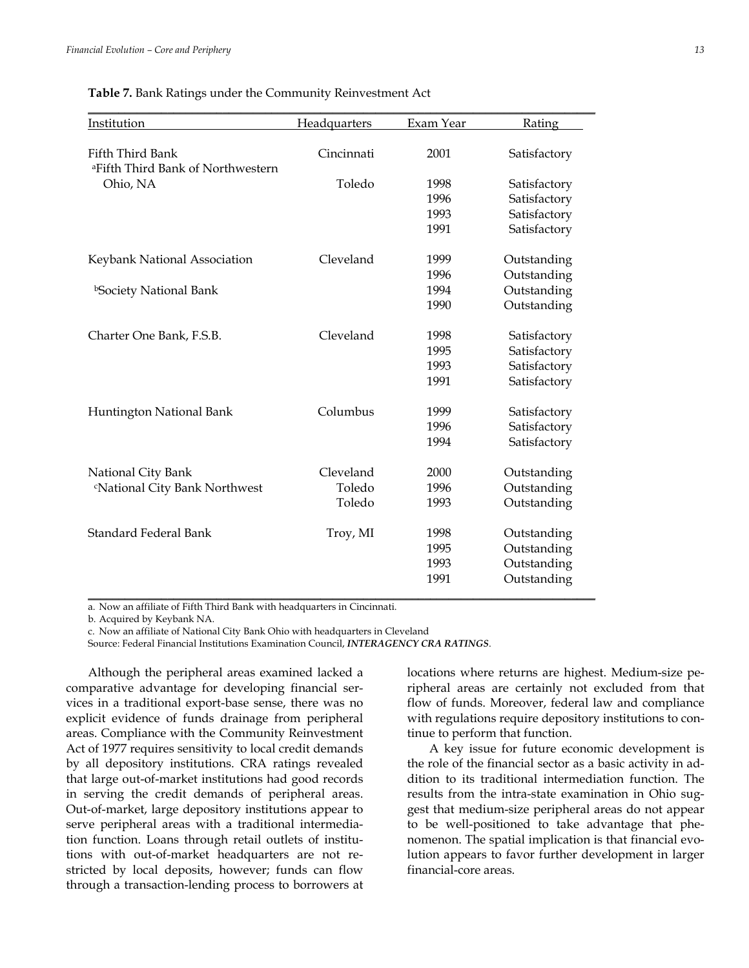| <b>Table 7.</b> Bank Ratings under the Community Reinvestment Act |  |  |
|-------------------------------------------------------------------|--|--|
|-------------------------------------------------------------------|--|--|

| Institution                                   | Headquarters | Exam Year | Rating       |
|-----------------------------------------------|--------------|-----------|--------------|
|                                               |              |           |              |
| Fifth Third Bank                              | Cincinnati   | 2001      | Satisfactory |
| <sup>a</sup> Fifth Third Bank of Northwestern |              |           |              |
| Ohio, NA                                      | Toledo       | 1998      | Satisfactory |
|                                               |              | 1996      | Satisfactory |
|                                               |              | 1993      | Satisfactory |
|                                               |              | 1991      | Satisfactory |
| Keybank National Association                  | Cleveland    | 1999      | Outstanding  |
|                                               |              | 1996      | Outstanding  |
| <sup>b</sup> Society National Bank            |              | 1994      | Outstanding  |
|                                               |              | 1990      | Outstanding  |
| Charter One Bank, F.S.B.                      | Cleveland    | 1998      | Satisfactory |
|                                               |              | 1995      | Satisfactory |
|                                               |              | 1993      | Satisfactory |
|                                               |              | 1991      | Satisfactory |
| Huntington National Bank                      | Columbus     | 1999      | Satisfactory |
|                                               |              | 1996      | Satisfactory |
|                                               |              | 1994      | Satisfactory |
| National City Bank                            | Cleveland    | 2000      | Outstanding  |
| <sup>c</sup> National City Bank Northwest     | Toledo       | 1996      | Outstanding  |
|                                               | Toledo       | 1993      | Outstanding  |
| <b>Standard Federal Bank</b>                  | Troy, MI     | 1998      | Outstanding  |
|                                               |              | 1995      | Outstanding  |
|                                               |              | 1993      | Outstanding  |
|                                               |              | 1991      | Outstanding  |

a. Now an affiliate of Fifth Third Bank with headquarters in Cincinnati.

b. Acquired by Keybank NA.

c. Now an affiliate of National City Bank Ohio with headquarters in Cleveland

Source: Federal Financial Institutions Examination Council, *INTERAGENCY CRA RATINGS*.

 Although the peripheral areas examined lacked a comparative advantage for developing financial services in a traditional export-base sense, there was no explicit evidence of funds drainage from peripheral areas. Compliance with the Community Reinvestment Act of 1977 requires sensitivity to local credit demands by all depository institutions. CRA ratings revealed that large out-of-market institutions had good records in serving the credit demands of peripheral areas. Out-of-market, large depository institutions appear to serve peripheral areas with a traditional intermediation function. Loans through retail outlets of institutions with out-of-market headquarters are not restricted by local deposits, however; funds can flow through a transaction-lending process to borrowers at

locations where returns are highest. Medium-size peripheral areas are certainly not excluded from that flow of funds. Moreover, federal law and compliance with regulations require depository institutions to continue to perform that function.

 A key issue for future economic development is the role of the financial sector as a basic activity in addition to its traditional intermediation function. The results from the intra-state examination in Ohio suggest that medium-size peripheral areas do not appear to be well-positioned to take advantage that phenomenon. The spatial implication is that financial evolution appears to favor further development in larger financial-core areas.